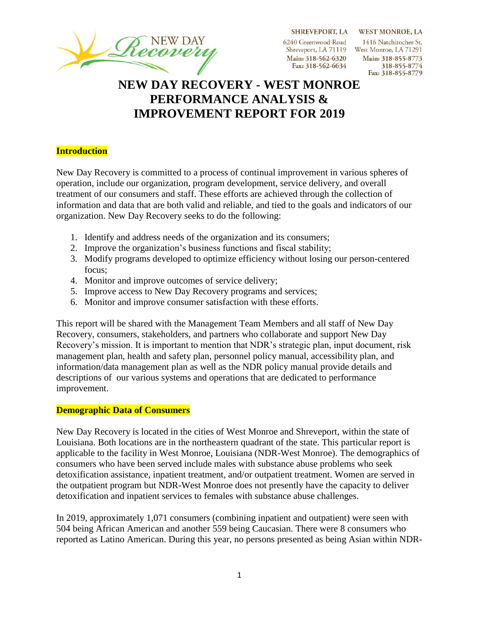SHREVEPORT, LA WEST MONROE, LA

6240 Greenwood Road Main: 318-562-6320 Fax: 318-562-6634

1416 Natchitoches St. Shreveport, LA 71119 West Monroe, LA 71291 Main: 318-855-8773 318-855-8774 Fax: 318-855-8779

# **NEW DAY RECOVERY - WEST MONROE PERFORMANCE ANALYSIS & IMPROVEMENT REPORT FOR 2019**

#### **Introduction**

New Day Recovery is committed to a process of continual improvement in various spheres of operation, include our organization, program development, service delivery, and overall treatment of our consumers and staff. These efforts are achieved through the collection of information and data that are both valid and reliable, and tied to the goals and indicators of our organization. New Day Recovery seeks to do the following:

- 1. Identify and address needs of the organization and its consumers;
- 2. Improve the organization's business functions and fiscal stability;
- 3. Modify programs developed to optimize efficiency without losing our person-centered focus;
- 4. Monitor and improve outcomes of service delivery;
- 5. Improve access to New Day Recovery programs and services;
- 6. Monitor and improve consumer satisfaction with these efforts.

This report will be shared with the Management Team Members and all staff of New Day Recovery, consumers, stakeholders, and partners who collaborate and support New Day Recovery's mission. It is important to mention that NDR's strategic plan, input document, risk management plan, health and safety plan, personnel policy manual, accessibility plan, and information/data management plan as well as the NDR policy manual provide details and descriptions of our various systems and operations that are dedicated to performance improvement.

#### **Demographic Data of Consumers**

New Day Recovery is located in the cities of West Monroe and Shreveport, within the state of Louisiana. Both locations are in the northeastern quadrant of the state. This particular report is applicable to the facility in West Monroe, Louisiana (NDR-West Monroe). The demographics of consumers who have been served include males with substance abuse problems who seek detoxification assistance, inpatient treatment, and/or outpatient treatment. Women are served in the outpatient program but NDR-West Monroe does not presently have the capacity to deliver detoxification and inpatient services to females with substance abuse challenges.

In 2019, approximately 1,071 consumers (combining inpatient and outpatient) were seen with 504 being African American and another 559 being Caucasian. There were 8 consumers who reported as Latino American. During this year, no persons presented as being Asian within NDR-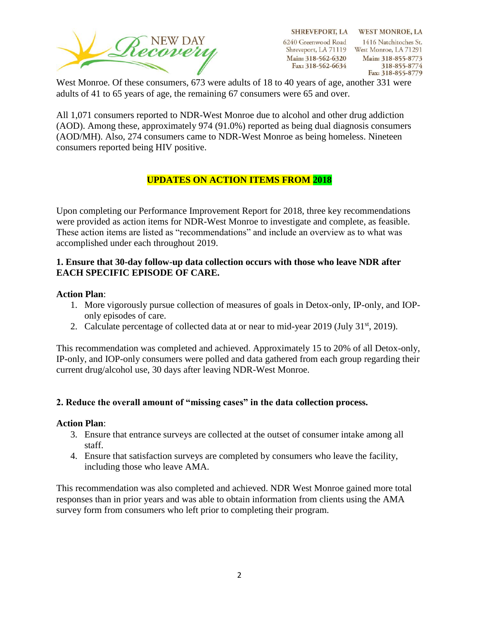

SHREVEPORT, LA WEST MONROE, LA 1416 Natchitoches St. Shreveport, LA 71119 West Monroe, LA 71291 Main: 318-855-8773 318-855-8774 Fax: 318-855-8779

West Monroe. Of these consumers, 673 were adults of 18 to 40 years of age, another 331 were adults of 41 to 65 years of age, the remaining 67 consumers were 65 and over.

All 1,071 consumers reported to NDR-West Monroe due to alcohol and other drug addiction (AOD). Among these, approximately 974 (91.0%) reported as being dual diagnosis consumers (AOD/MH). Also, 274 consumers came to NDR-West Monroe as being homeless. Nineteen consumers reported being HIV positive.

### **UPDATES ON ACTION ITEMS FROM 2018**

Upon completing our Performance Improvement Report for 2018, three key recommendations were provided as action items for NDR-West Monroe to investigate and complete, as feasible. These action items are listed as "recommendations" and include an overview as to what was accomplished under each throughout 2019.

### **1. Ensure that 30-day follow-up data collection occurs with those who leave NDR after EACH SPECIFIC EPISODE OF CARE.**

#### **Action Plan**:

- 1. More vigorously pursue collection of measures of goals in Detox-only, IP-only, and IOPonly episodes of care.
- 2. Calculate percentage of collected data at or near to mid-year  $2019$  (July  $31<sup>st</sup>$ , 2019).

This recommendation was completed and achieved. Approximately 15 to 20% of all Detox-only, IP-only, and IOP-only consumers were polled and data gathered from each group regarding their current drug/alcohol use, 30 days after leaving NDR-West Monroe.

### **2. Reduce the overall amount of "missing cases" in the data collection process.**

#### **Action Plan**:

- 3. Ensure that entrance surveys are collected at the outset of consumer intake among all staff.
- 4. Ensure that satisfaction surveys are completed by consumers who leave the facility, including those who leave AMA.

This recommendation was also completed and achieved. NDR West Monroe gained more total responses than in prior years and was able to obtain information from clients using the AMA survey form from consumers who left prior to completing their program.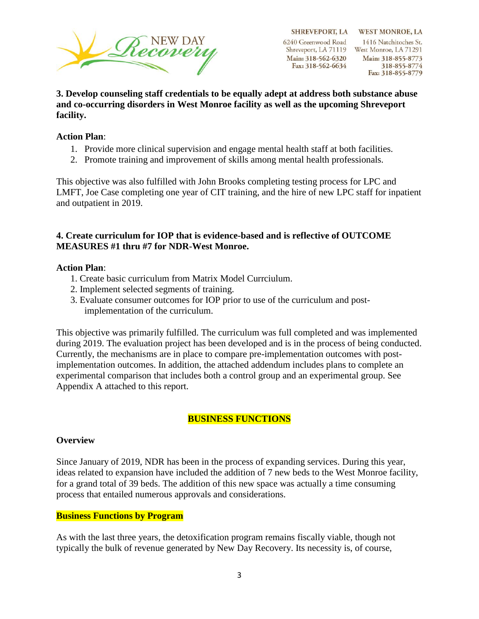

SHREVEPORT, LA WEST MONROE, LA 1416 Natchitoches St. Shreveport, LA 71119 West Monroe, LA 71291 Main: 318-855-8773 318-855-8774 Fax: 318-855-8779

**3. Develop counseling staff credentials to be equally adept at address both substance abuse and co-occurring disorders in West Monroe facility as well as the upcoming Shreveport facility.** 

#### **Action Plan**:

- 1. Provide more clinical supervision and engage mental health staff at both facilities.
- 2. Promote training and improvement of skills among mental health professionals.

This objective was also fulfilled with John Brooks completing testing process for LPC and LMFT, Joe Case completing one year of CIT training, and the hire of new LPC staff for inpatient and outpatient in 2019.

### **4. Create curriculum for IOP that is evidence-based and is reflective of OUTCOME MEASURES #1 thru #7 for NDR-West Monroe.**

#### **Action Plan**:

- 1. Create basic curriculum from Matrix Model Currciulum.
- 2. Implement selected segments of training.
- 3. Evaluate consumer outcomes for IOP prior to use of the curriculum and postimplementation of the curriculum.

This objective was primarily fulfilled. The curriculum was full completed and was implemented during 2019. The evaluation project has been developed and is in the process of being conducted. Currently, the mechanisms are in place to compare pre-implementation outcomes with postimplementation outcomes. In addition, the attached addendum includes plans to complete an experimental comparison that includes both a control group and an experimental group. See Appendix A attached to this report.

#### **BUSINESS FUNCTIONS**

#### **Overview**

Since January of 2019, NDR has been in the process of expanding services. During this year, ideas related to expansion have included the addition of 7 new beds to the West Monroe facility, for a grand total of 39 beds. The addition of this new space was actually a time consuming process that entailed numerous approvals and considerations.

#### **Business Functions by Program**

As with the last three years, the detoxification program remains fiscally viable, though not typically the bulk of revenue generated by New Day Recovery. Its necessity is, of course,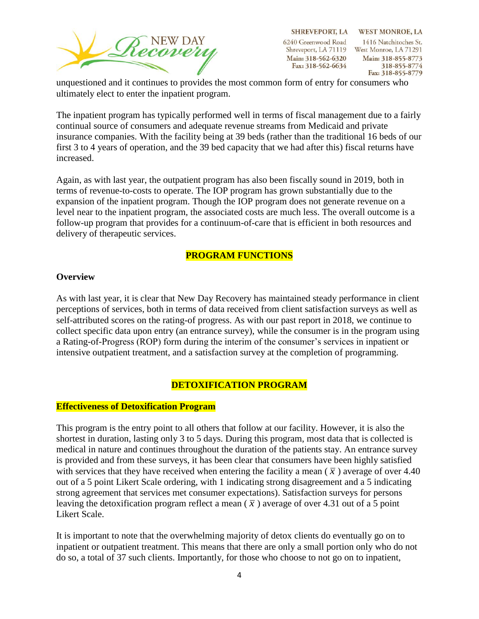

SHREVEPORT, LA WEST MONROE, LA 1416 Natchitoches St. Shreveport, LA 71119 West Monroe, LA 71291 Main: 318-855-8773 318-855-8774 Fax: 318-855-8779

unquestioned and it continues to provides the most common form of entry for consumers who ultimately elect to enter the inpatient program.

The inpatient program has typically performed well in terms of fiscal management due to a fairly continual source of consumers and adequate revenue streams from Medicaid and private insurance companies. With the facility being at 39 beds (rather than the traditional 16 beds of our first 3 to 4 years of operation, and the 39 bed capacity that we had after this) fiscal returns have increased.

Again, as with last year, the outpatient program has also been fiscally sound in 2019, both in terms of revenue-to-costs to operate. The IOP program has grown substantially due to the expansion of the inpatient program. Though the IOP program does not generate revenue on a level near to the inpatient program, the associated costs are much less. The overall outcome is a follow-up program that provides for a continuum-of-care that is efficient in both resources and delivery of therapeutic services.

### **PROGRAM FUNCTIONS**

#### **Overview**

As with last year, it is clear that New Day Recovery has maintained steady performance in client perceptions of services, both in terms of data received from client satisfaction surveys as well as self-attributed scores on the rating-of progress. As with our past report in 2018, we continue to collect specific data upon entry (an entrance survey), while the consumer is in the program using a Rating-of-Progress (ROP) form during the interim of the consumer's services in inpatient or intensive outpatient treatment, and a satisfaction survey at the completion of programming.

#### **DETOXIFICATION PROGRAM**

#### **Effectiveness of Detoxification Program**

This program is the entry point to all others that follow at our facility. However, it is also the shortest in duration, lasting only 3 to 5 days. During this program, most data that is collected is medical in nature and continues throughout the duration of the patients stay. An entrance survey is provided and from these surveys, it has been clear that consumers have been highly satisfied with services that they have received when entering the facility a mean  $(\bar{x})$  average of over 4.40 out of a 5 point Likert Scale ordering, with 1 indicating strong disagreement and a 5 indicating strong agreement that services met consumer expectations). Satisfaction surveys for persons leaving the detoxification program reflect a mean  $(\bar{x})$  average of over 4.31 out of a 5 point Likert Scale.

It is important to note that the overwhelming majority of detox clients do eventually go on to inpatient or outpatient treatment. This means that there are only a small portion only who do not do so, a total of 37 such clients. Importantly, for those who choose to not go on to inpatient,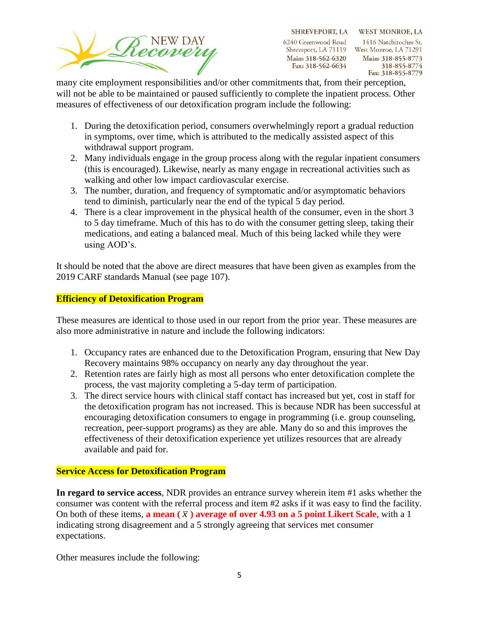

SHREVEPORT, LA WEST MONROE, LA 1416 Natchitoches St. Shreveport, LA 71119 West Monroe, LA 71291 Main: 318-855-8773 318-855-8774 Fax: 318-855-8779

many cite employment responsibilities and/or other commitments that, from their perception, will not be able to be maintained or paused sufficiently to complete the inpatient process. Other measures of effectiveness of our detoxification program include the following:

- 1. During the detoxification period, consumers overwhelmingly report a gradual reduction in symptoms, over time, which is attributed to the medically assisted aspect of this withdrawal support program.
- 2. Many individuals engage in the group process along with the regular inpatient consumers (this is encouraged). Likewise, nearly as many engage in recreational activities such as walking and other low impact cardiovascular exercise.
- 3. The number, duration, and frequency of symptomatic and/or asymptomatic behaviors tend to diminish, particularly near the end of the typical 5 day period.
- 4. There is a clear improvement in the physical health of the consumer, even in the short 3 to 5 day timeframe. Much of this has to do with the consumer getting sleep, taking their medications, and eating a balanced meal. Much of this being lacked while they were using AOD's.

It should be noted that the above are direct measures that have been given as examples from the 2019 CARF standards Manual (see page 107).

### **Efficiency of Detoxification Program**

These measures are identical to those used in our report from the prior year. These measures are also more administrative in nature and include the following indicators:

- 1. Occupancy rates are enhanced due to the Detoxification Program, ensuring that New Day Recovery maintains 98% occupancy on nearly any day throughout the year.
- 2. Retention rates are fairly high as most all persons who enter detoxification complete the process, the vast majority completing a 5-day term of participation.
- 3. The direct service hours with clinical staff contact has increased but yet, cost in staff for the detoxification program has not increased. This is because NDR has been successful at encouraging detoxification consumers to engage in programming (i.e. group counseling, recreation, peer-support programs) as they are able. Many do so and this improves the effectiveness of their detoxification experience yet utilizes resources that are already available and paid for.

### **Service Access for Detoxification Program**

**In regard to service access**, NDR provides an entrance survey wherein item #1 asks whether the consumer was content with the referral process and item #2 asks if it was easy to find the facility. On both of these items, **a mean**  $(\bar{x})$  **average of over 4.93 on a 5 point Likert Scale**, with a 1 indicating strong disagreement and a 5 strongly agreeing that services met consumer expectations.

Other measures include the following: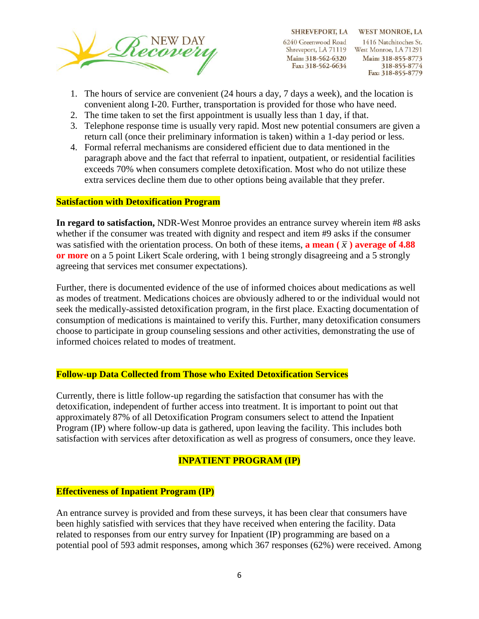

SHREVEPORT, LA WEST MONROE, LA 1416 Natchitoches St. Shreveport, LA 71119 West Monroe, LA 71291 Main: 318-855-8773 318-855-8774 Fax: 318-855-8779

- 1. The hours of service are convenient (24 hours a day, 7 days a week), and the location is convenient along I-20. Further, transportation is provided for those who have need.
- 2. The time taken to set the first appointment is usually less than 1 day, if that.
- 3. Telephone response time is usually very rapid. Most new potential consumers are given a return call (once their preliminary information is taken) within a 1-day period or less.
- 4. Formal referral mechanisms are considered efficient due to data mentioned in the paragraph above and the fact that referral to inpatient, outpatient, or residential facilities exceeds 70% when consumers complete detoxification. Most who do not utilize these extra services decline them due to other options being available that they prefer.

### **Satisfaction with Detoxification Program**

**In regard to satisfaction,** NDR-West Monroe provides an entrance survey wherein item #8 asks whether if the consumer was treated with dignity and respect and item #9 asks if the consumer was satisfied with the orientation process. On both of these items, **a mean**  $(\bar{x})$  **average of 4.88 or more** on a 5 point Likert Scale ordering, with 1 being strongly disagreeing and a 5 strongly agreeing that services met consumer expectations).

Further, there is documented evidence of the use of informed choices about medications as well as modes of treatment. Medications choices are obviously adhered to or the individual would not seek the medically-assisted detoxification program, in the first place. Exacting documentation of consumption of medications is maintained to verify this. Further, many detoxification consumers choose to participate in group counseling sessions and other activities, demonstrating the use of informed choices related to modes of treatment.

#### **Follow-up Data Collected from Those who Exited Detoxification Services**

Currently, there is little follow-up regarding the satisfaction that consumer has with the detoxification, independent of further access into treatment. It is important to point out that approximately 87% of all Detoxification Program consumers select to attend the Inpatient Program (IP) where follow-up data is gathered, upon leaving the facility. This includes both satisfaction with services after detoxification as well as progress of consumers, once they leave.

#### **INPATIENT PROGRAM (IP)**

#### **Effectiveness of Inpatient Program (IP)**

An entrance survey is provided and from these surveys, it has been clear that consumers have been highly satisfied with services that they have received when entering the facility. Data related to responses from our entry survey for Inpatient (IP) programming are based on a potential pool of 593 admit responses, among which 367 responses (62%) were received. Among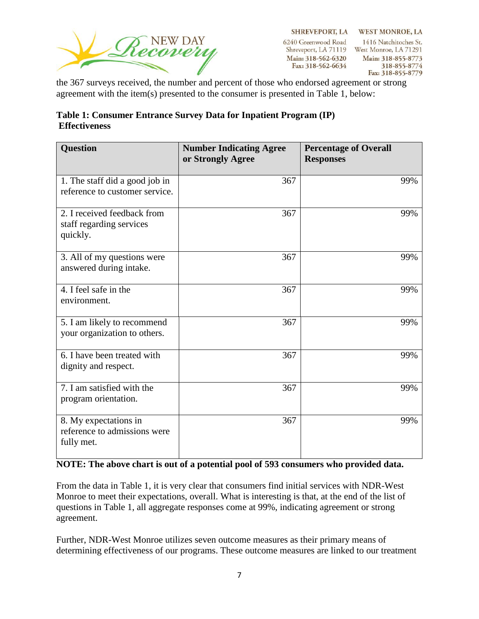

6240 Greenwood Road Shreveport, LA 71119 West Monroe, LA 71291 Main: 318-562-6320 Fax: 318-562-6634

SHREVEPORT, LA WEST MONROE, LA 1416 Natchitoches St. Main: 318-855-8773 318-855-8774 Fax: 318-855-8779

the 367 surveys received, the number and percent of those who endorsed agreement or strong agreement with the item(s) presented to the consumer is presented in Table 1, below:

| Table 1: Consumer Entrance Survey Data for Inpatient Program (IP) |  |
|-------------------------------------------------------------------|--|
| <b>Effectiveness</b>                                              |  |

| <b>Question</b>                                                     | <b>Number Indicating Agree</b><br>or Strongly Agree | <b>Percentage of Overall</b><br><b>Responses</b> |
|---------------------------------------------------------------------|-----------------------------------------------------|--------------------------------------------------|
| 1. The staff did a good job in<br>reference to customer service.    | 367                                                 | 99%                                              |
| 2. I received feedback from<br>staff regarding services<br>quickly. | 367                                                 | 99%                                              |
| 3. All of my questions were<br>answered during intake.              | 367                                                 | 99%                                              |
| 4. I feel safe in the<br>environment.                               | 367                                                 | 99%                                              |
| 5. I am likely to recommend<br>your organization to others.         | 367                                                 | 99%                                              |
| 6. I have been treated with<br>dignity and respect.                 | 367                                                 | 99%                                              |
| 7. I am satisfied with the<br>program orientation.                  | 367                                                 | 99%                                              |
| 8. My expectations in<br>reference to admissions were<br>fully met. | 367                                                 | 99%                                              |

### **NOTE: The above chart is out of a potential pool of 593 consumers who provided data.**

From the data in Table 1, it is very clear that consumers find initial services with NDR-West Monroe to meet their expectations, overall. What is interesting is that, at the end of the list of questions in Table 1, all aggregate responses come at 99%, indicating agreement or strong agreement.

Further, NDR-West Monroe utilizes seven outcome measures as their primary means of determining effectiveness of our programs. These outcome measures are linked to our treatment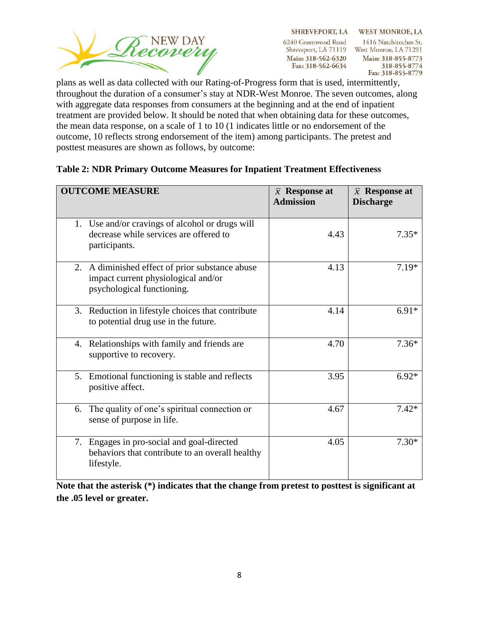

SHREVEPORT, LA WEST MONROE, LA 1416 Natchitoches St. Shreveport, LA 71119 West Monroe, LA 71291 Main: 318-855-8773 318-855-8774 Fax: 318-855-8779

plans as well as data collected with our Rating-of-Progress form that is used, intermittently, throughout the duration of a consumer's stay at NDR-West Monroe. The seven outcomes, along with aggregate data responses from consumers at the beginning and at the end of inpatient treatment are provided below. It should be noted that when obtaining data for these outcomes, the mean data response, on a scale of 1 to 10 (1 indicates little or no endorsement of the outcome, 10 reflects strong endorsement of the item) among participants. The pretest and posttest measures are shown as follows, by outcome:

| <b>OUTCOME MEASURE</b>                                                                                               | $\bar{x}$ Response at<br><b>Admission</b> | $\bar{x}$ Response at<br><b>Discharge</b> |
|----------------------------------------------------------------------------------------------------------------------|-------------------------------------------|-------------------------------------------|
| 1. Use and/or cravings of alcohol or drugs will<br>decrease while services are offered to<br>participants.           | 4.43                                      | $7.35*$                                   |
| 2. A diminished effect of prior substance abuse<br>impact current physiological and/or<br>psychological functioning. | 4.13                                      | $7.19*$                                   |
| 3. Reduction in lifestyle choices that contribute<br>to potential drug use in the future.                            | 4.14                                      | $6.91*$                                   |
| 4. Relationships with family and friends are<br>supportive to recovery.                                              | 4.70                                      | $7.36*$                                   |
| 5. Emotional functioning is stable and reflects<br>positive affect.                                                  | 3.95                                      | $6.92*$                                   |
| The quality of one's spiritual connection or<br>6.<br>sense of purpose in life.                                      | 4.67                                      | $7.42*$                                   |
| Engages in pro-social and goal-directed<br>7.<br>behaviors that contribute to an overall healthy<br>lifestyle.       | 4.05                                      | $7.30*$                                   |

### **Table 2: NDR Primary Outcome Measures for Inpatient Treatment Effectiveness**

**Note that the asterisk (\*) indicates that the change from pretest to posttest is significant at the .05 level or greater.**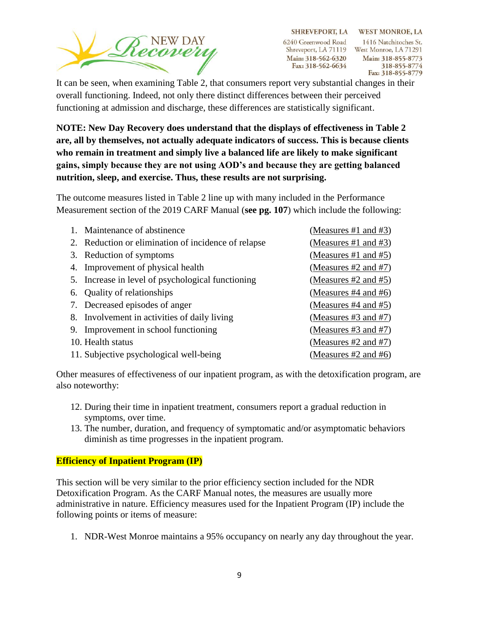

SHREVEPORT, LA WEST MONROE, LA 1416 Natchitoches St. Shreveport, LA 71119 West Monroe, LA 71291 Main: 318-855-8773 318-855-8774 Fax: 318-855-8779

It can be seen, when examining Table 2, that consumers report very substantial changes in their overall functioning. Indeed, not only there distinct differences between their perceived functioning at admission and discharge, these differences are statistically significant.

**NOTE: New Day Recovery does understand that the displays of effectiveness in Table 2 are, all by themselves, not actually adequate indicators of success. This is because clients who remain in treatment and simply live a balanced life are likely to make significant gains, simply because they are not using AOD's and because they are getting balanced nutrition, sleep, and exercise. Thus, these results are not surprising.** 

The outcome measures listed in Table 2 line up with many included in the Performance Measurement section of the 2019 CARF Manual (**see pg. 107**) which include the following:

| Maintenance of abstinence                           | (Measures #1 and #3)      |
|-----------------------------------------------------|---------------------------|
| 2. Reduction or elimination of incidence of relapse | (Measures #1 and #3)      |
| 3. Reduction of symptoms                            | (Measures #1 and #5)      |
| 4. Improvement of physical health                   | (Measures $#2$ and $#7$ ) |
| 5. Increase in level of psychological functioning   | (Measures #2 and #5)      |
| 6. Quality of relationships                         | (Measures $#4$ and $#6$ ) |
| 7. Decreased episodes of anger                      | (Measures #4 and #5)      |
| 8. Involvement in activities of daily living        | (Measures #3 and #7)      |
| 9. Improvement in school functioning                | (Measures #3 and #7)      |
| 10. Health status                                   | (Measures #2 and #7)      |
| 11. Subjective psychological well-being             | (Measures #2 and #6)      |

Other measures of effectiveness of our inpatient program, as with the detoxification program, are also noteworthy:

- 12. During their time in inpatient treatment, consumers report a gradual reduction in symptoms, over time.
- 13. The number, duration, and frequency of symptomatic and/or asymptomatic behaviors diminish as time progresses in the inpatient program.

### **Efficiency of Inpatient Program (IP)**

This section will be very similar to the prior efficiency section included for the NDR Detoxification Program. As the CARF Manual notes, the measures are usually more administrative in nature. Efficiency measures used for the Inpatient Program (IP) include the following points or items of measure:

1. NDR-West Monroe maintains a 95% occupancy on nearly any day throughout the year.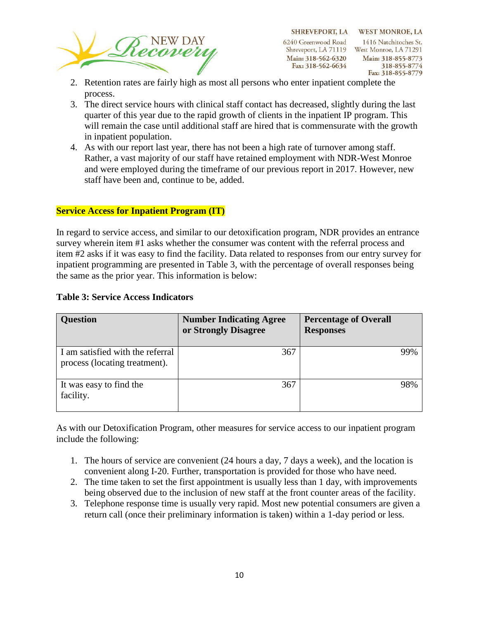

- 2. Retention rates are fairly high as most all persons who enter inpatient complete the process.
- 3. The direct service hours with clinical staff contact has decreased, slightly during the last quarter of this year due to the rapid growth of clients in the inpatient IP program. This will remain the case until additional staff are hired that is commensurate with the growth in inpatient population.
- 4. As with our report last year, there has not been a high rate of turnover among staff. Rather, a vast majority of our staff have retained employment with NDR-West Monroe and were employed during the timeframe of our previous report in 2017. However, new staff have been and, continue to be, added.

#### **Service Access for Inpatient Program (IT)**

In regard to service access, and similar to our detoxification program, NDR provides an entrance survey wherein item #1 asks whether the consumer was content with the referral process and item #2 asks if it was easy to find the facility. Data related to responses from our entry survey for inpatient programming are presented in Table 3, with the percentage of overall responses being the same as the prior year. This information is below:

| <b>Question</b>                                                   | <b>Number Indicating Agree</b><br>or Strongly Disagree | <b>Percentage of Overall</b><br><b>Responses</b> |
|-------------------------------------------------------------------|--------------------------------------------------------|--------------------------------------------------|
| I am satisfied with the referral<br>process (locating treatment). | 367                                                    | 99%                                              |
| It was easy to find the<br>facility.                              | 367                                                    | 98%                                              |

#### **Table 3: Service Access Indicators**

As with our Detoxification Program, other measures for service access to our inpatient program include the following:

- 1. The hours of service are convenient (24 hours a day, 7 days a week), and the location is convenient along I-20. Further, transportation is provided for those who have need.
- 2. The time taken to set the first appointment is usually less than 1 day, with improvements being observed due to the inclusion of new staff at the front counter areas of the facility.
- 3. Telephone response time is usually very rapid. Most new potential consumers are given a return call (once their preliminary information is taken) within a 1-day period or less.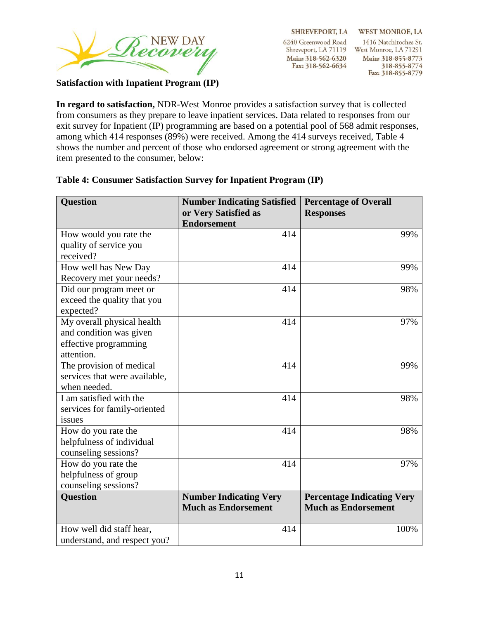

**SHREVEPORT, LA** 6240 Greenwood Road Shreveport, LA 71119 West Monroe, LA 71291 Main: 318-562-6320 Fax: 318-562-6634

**WEST MONROE, LA** 1416 Natchitoches St. Main: 318-855-8773 318-855-8774 Fax: 318-855-8779

#### **Satisfaction with Inpatient Program (IP)**

**In regard to satisfaction,** NDR-West Monroe provides a satisfaction survey that is collected from consumers as they prepare to leave inpatient services. Data related to responses from our exit survey for Inpatient (IP) programming are based on a potential pool of 568 admit responses, among which 414 responses (89%) were received. Among the 414 surveys received, Table 4 shows the number and percent of those who endorsed agreement or strong agreement with the item presented to the consumer, below:

| <b>Question</b>               | <b>Number Indicating Satisfied</b><br>or Very Satisfied as<br><b>Endorsement</b> | <b>Percentage of Overall</b><br><b>Responses</b> |
|-------------------------------|----------------------------------------------------------------------------------|--------------------------------------------------|
| How would you rate the        | 414                                                                              | 99%                                              |
| quality of service you        |                                                                                  |                                                  |
| received?                     |                                                                                  |                                                  |
| How well has New Day          | 414                                                                              | 99%                                              |
| Recovery met your needs?      |                                                                                  |                                                  |
| Did our program meet or       | 414                                                                              | 98%                                              |
| exceed the quality that you   |                                                                                  |                                                  |
| expected?                     |                                                                                  |                                                  |
| My overall physical health    | 414                                                                              | 97%                                              |
| and condition was given       |                                                                                  |                                                  |
| effective programming         |                                                                                  |                                                  |
| attention.                    |                                                                                  |                                                  |
| The provision of medical      | 414                                                                              | 99%                                              |
| services that were available, |                                                                                  |                                                  |
| when needed.                  |                                                                                  |                                                  |
| I am satisfied with the       | 414                                                                              | 98%                                              |
| services for family-oriented  |                                                                                  |                                                  |
| issues                        |                                                                                  |                                                  |
| How do you rate the           | 414                                                                              | 98%                                              |
| helpfulness of individual     |                                                                                  |                                                  |
| counseling sessions?          |                                                                                  |                                                  |
| How do you rate the           | 414                                                                              | 97%                                              |
| helpfulness of group          |                                                                                  |                                                  |
| counseling sessions?          |                                                                                  |                                                  |
| <b>Question</b>               | <b>Number Indicating Very</b>                                                    | <b>Percentage Indicating Very</b>                |
|                               | <b>Much as Endorsement</b>                                                       | <b>Much as Endorsement</b>                       |
| How well did staff hear,      | 414                                                                              | 100%                                             |
| understand, and respect you?  |                                                                                  |                                                  |

#### **Table 4: Consumer Satisfaction Survey for Inpatient Program (IP)**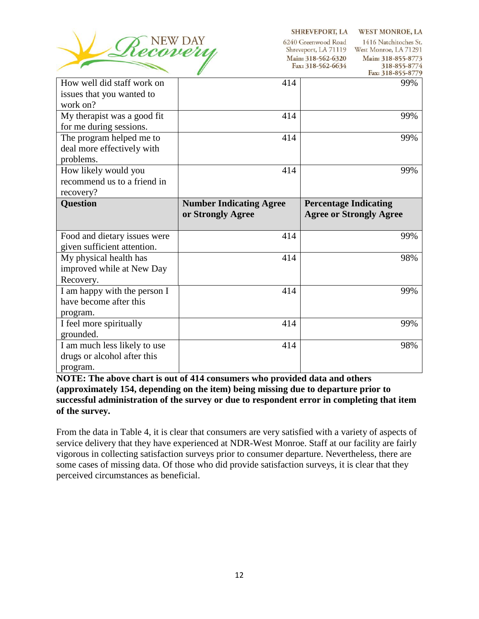

SHREVEPORT, LA WEST MONROE, LA

6240 Greenwood Road 1416 Natchitoches St. Shreveport, LA 71119 West Monroe, LA 71291 Main: 318-562-6320 Main: 318-855-8773 Fax: 318-562-6634 318-855-8774

|                              |                                | гах: Это-оээ-о//э              |
|------------------------------|--------------------------------|--------------------------------|
| How well did staff work on   | 414                            | 99%                            |
| issues that you wanted to    |                                |                                |
| work on?                     |                                |                                |
| My therapist was a good fit  | 414                            | 99%                            |
| for me during sessions.      |                                |                                |
| The program helped me to     | 414                            | 99%                            |
| deal more effectively with   |                                |                                |
| problems.                    |                                |                                |
| How likely would you         | 414                            | 99%                            |
| recommend us to a friend in  |                                |                                |
| recovery?                    |                                |                                |
| <b>Question</b>              | <b>Number Indicating Agree</b> | <b>Percentage Indicating</b>   |
|                              | or Strongly Agree              | <b>Agree or Strongly Agree</b> |
|                              |                                |                                |
|                              |                                |                                |
| Food and dietary issues were | 414                            | 99%                            |
| given sufficient attention.  |                                |                                |
| My physical health has       | 414                            | 98%                            |
| improved while at New Day    |                                |                                |
| Recovery.                    |                                |                                |
| I am happy with the person I | 414                            | 99%                            |
| have become after this       |                                |                                |
| program.                     |                                |                                |
| I feel more spiritually      | 414                            | 99%                            |
| grounded.                    |                                |                                |
| I am much less likely to use | 414                            | 98%                            |
| drugs or alcohol after this  |                                |                                |

**NOTE: The above chart is out of 414 consumers who provided data and others (approximately 154, depending on the item) being missing due to departure prior to successful administration of the survey or due to respondent error in completing that item of the survey.** 

From the data in Table 4, it is clear that consumers are very satisfied with a variety of aspects of service delivery that they have experienced at NDR-West Monroe. Staff at our facility are fairly vigorous in collecting satisfaction surveys prior to consumer departure. Nevertheless, there are some cases of missing data. Of those who did provide satisfaction surveys, it is clear that they perceived circumstances as beneficial.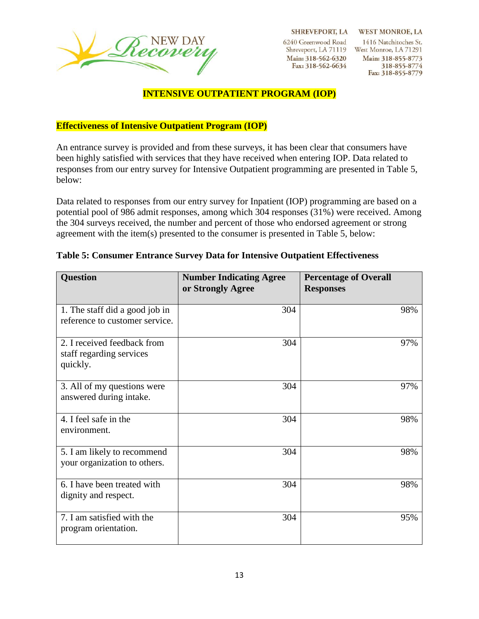

SHREVEPORT, LA WEST MONROE, LA

6240 Greenwood Road Main: 318-562-6320 Fax: 318-562-6634

1416 Natchitoches St. Shreveport, LA 71119 West Monroe, LA 71291 Main: 318-855-8773 318-855-8774 Fax: 318-855-8779

#### **INTENSIVE OUTPATIENT PROGRAM (IOP)**

**Effectiveness of Intensive Outpatient Program (IOP)**

An entrance survey is provided and from these surveys, it has been clear that consumers have been highly satisfied with services that they have received when entering IOP. Data related to responses from our entry survey for Intensive Outpatient programming are presented in Table 5, below:

Data related to responses from our entry survey for Inpatient (IOP) programming are based on a potential pool of 986 admit responses, among which 304 responses (31%) were received. Among the 304 surveys received, the number and percent of those who endorsed agreement or strong agreement with the item(s) presented to the consumer is presented in Table 5, below:

| <b>Question</b>                                                     | <b>Number Indicating Agree</b><br>or Strongly Agree | <b>Percentage of Overall</b><br><b>Responses</b> |
|---------------------------------------------------------------------|-----------------------------------------------------|--------------------------------------------------|
| 1. The staff did a good job in<br>reference to customer service.    | 304                                                 | 98%                                              |
| 2. I received feedback from<br>staff regarding services<br>quickly. | 304                                                 | 97%                                              |
| 3. All of my questions were<br>answered during intake.              | 304                                                 | 97%                                              |
| 4. I feel safe in the<br>environment.                               | 304                                                 | 98%                                              |
| 5. I am likely to recommend<br>your organization to others.         | 304                                                 | 98%                                              |
| 6. I have been treated with<br>dignity and respect.                 | 304                                                 | 98%                                              |
| 7. I am satisfied with the<br>program orientation.                  | 304                                                 | 95%                                              |

#### **Table 5: Consumer Entrance Survey Data for Intensive Outpatient Effectiveness**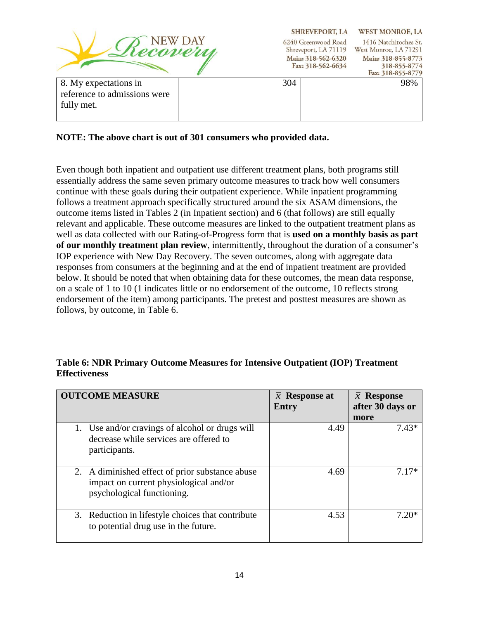

SHREVEPORT, LA WEST MONROE, LA 6240 Greenwood Road 1416 Natchitoches St. Shreveport, LA 71119 West Monroe, LA 71291 Main: 318-562-6320 Main: 318-855-8773 Fax: 318-562-6634 318-855-8774

|                                                                     |     | Fax: 318-855-8779 |
|---------------------------------------------------------------------|-----|-------------------|
| 8. My expectations in<br>reference to admissions were<br>fully met. | 304 | 98%               |

### **NOTE: The above chart is out of 301 consumers who provided data.**

Even though both inpatient and outpatient use different treatment plans, both programs still essentially address the same seven primary outcome measures to track how well consumers continue with these goals during their outpatient experience. While inpatient programming follows a treatment approach specifically structured around the six ASAM dimensions, the outcome items listed in Tables 2 (in Inpatient section) and 6 (that follows) are still equally relevant and applicable. These outcome measures are linked to the outpatient treatment plans as well as data collected with our Rating-of-Progress form that is **used on a monthly basis as part of our monthly treatment plan review**, intermittently, throughout the duration of a consumer's IOP experience with New Day Recovery. The seven outcomes, along with aggregate data responses from consumers at the beginning and at the end of inpatient treatment are provided below. It should be noted that when obtaining data for these outcomes, the mean data response, on a scale of 1 to 10 (1 indicates little or no endorsement of the outcome, 10 reflects strong endorsement of the item) among participants. The pretest and posttest measures are shown as follows, by outcome, in Table 6.

### **Table 6: NDR Primary Outcome Measures for Intensive Outpatient (IOP) Treatment Effectiveness**

| <b>OUTCOME MEASURE</b>                                                                                                  | $\bar{x}$ Response at<br><b>Entry</b> | $\bar{x}$ Response<br>after 30 days or<br>more |
|-------------------------------------------------------------------------------------------------------------------------|---------------------------------------|------------------------------------------------|
| 1. Use and/or cravings of alcohol or drugs will<br>decrease while services are offered to<br>participants.              | 4.49                                  | 7.43*                                          |
| 2. A diminished effect of prior substance abuse<br>impact on current physiological and/or<br>psychological functioning. | 4.69                                  | $7.17*$                                        |
| 3. Reduction in lifestyle choices that contribute<br>to potential drug use in the future.                               | 4.53                                  | 7.20*                                          |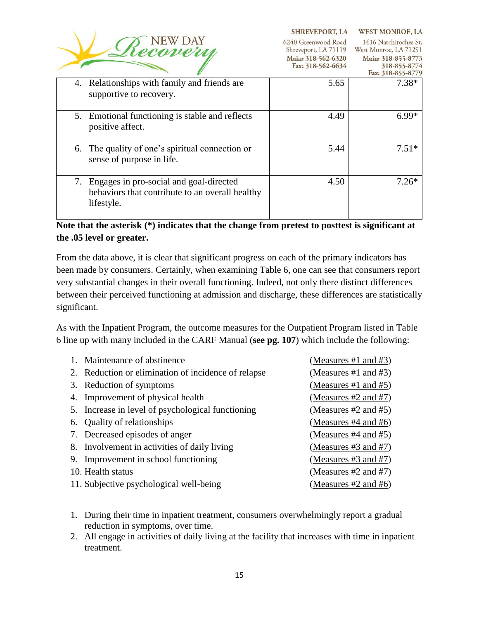| Recovera |
|----------|
|          |
|          |

Shreveport, LA 71119 West Monroe, LA 71291

|                                                                                                             | Main: 318-562-6320<br>Fax: 318-562-6634 | Main: 318-855-8773<br>318-855-8774<br>Fax: 318-855-8779 |
|-------------------------------------------------------------------------------------------------------------|-----------------------------------------|---------------------------------------------------------|
| 4. Relationships with family and friends are<br>supportive to recovery.                                     | 5.65                                    | $7.38*$                                                 |
| 5. Emotional functioning is stable and reflects<br>positive affect.                                         | 4.49                                    | $6.99*$                                                 |
| 6. The quality of one's spiritual connection or<br>sense of purpose in life.                                | 5.44                                    | $7.51*$                                                 |
| 7. Engages in pro-social and goal-directed<br>behaviors that contribute to an overall healthy<br>lifestyle. | 4.50                                    | $7.26*$                                                 |

## **Note that the asterisk (\*) indicates that the change from pretest to posttest is significant at the .05 level or greater.**

From the data above, it is clear that significant progress on each of the primary indicators has been made by consumers. Certainly, when examining Table 6, one can see that consumers report very substantial changes in their overall functioning. Indeed, not only there distinct differences between their perceived functioning at admission and discharge, these differences are statistically significant.

As with the Inpatient Program, the outcome measures for the Outpatient Program listed in Table 6 line up with many included in the CARF Manual (**see pg. 107**) which include the following:

| $\mathbf{1}$ | Maintenance of abstinence                           | (Measures #1 and #3)      |
|--------------|-----------------------------------------------------|---------------------------|
|              | 2. Reduction or elimination of incidence of relapse | (Measures #1 and #3)      |
|              | 3. Reduction of symptoms                            | (Measures #1 and #5)      |
|              | 4. Improvement of physical health                   | (Measures #2 and #7)      |
|              | 5. Increase in level of psychological functioning   | (Measures $#2$ and $#5$ ) |
|              | 6. Quality of relationships                         | (Measures #4 and #6)      |
|              | 7. Decreased episodes of anger                      | (Measures #4 and #5)      |
|              | 8. Involvement in activities of daily living        | (Measures #3 and #7)      |
|              | 9. Improvement in school functioning                | (Measures #3 and #7)      |
|              | 10. Health status                                   | (Measures $#2$ and $#7$ ) |
|              | 11. Subjective psychological well-being             | (Measures #2 and #6)      |

- 1. During their time in inpatient treatment, consumers overwhelmingly report a gradual reduction in symptoms, over time.
- 2. All engage in activities of daily living at the facility that increases with time in inpatient treatment.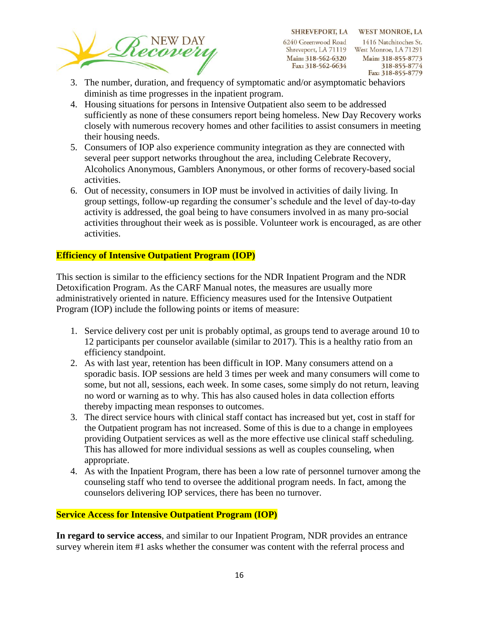

SHREVEPORT, LA WEST MONROE, LA 1416 Natchitoches St. Shreveport, LA 71119 West Monroe, LA 71291 Main: 318-855-8773 318-855-8774 Fax: 318-855-8779

- 3. The number, duration, and frequency of symptomatic and/or asymptomatic behaviors diminish as time progresses in the inpatient program.
- 4. Housing situations for persons in Intensive Outpatient also seem to be addressed sufficiently as none of these consumers report being homeless. New Day Recovery works closely with numerous recovery homes and other facilities to assist consumers in meeting their housing needs.
- 5. Consumers of IOP also experience community integration as they are connected with several peer support networks throughout the area, including Celebrate Recovery, Alcoholics Anonymous, Gamblers Anonymous, or other forms of recovery-based social activities.
- 6. Out of necessity, consumers in IOP must be involved in activities of daily living. In group settings, follow-up regarding the consumer's schedule and the level of day-to-day activity is addressed, the goal being to have consumers involved in as many pro-social activities throughout their week as is possible. Volunteer work is encouraged, as are other activities.

### **Efficiency of Intensive Outpatient Program (IOP)**

This section is similar to the efficiency sections for the NDR Inpatient Program and the NDR Detoxification Program. As the CARF Manual notes, the measures are usually more administratively oriented in nature. Efficiency measures used for the Intensive Outpatient Program (IOP) include the following points or items of measure:

- 1. Service delivery cost per unit is probably optimal, as groups tend to average around 10 to 12 participants per counselor available (similar to 2017). This is a healthy ratio from an efficiency standpoint.
- 2. As with last year, retention has been difficult in IOP. Many consumers attend on a sporadic basis. IOP sessions are held 3 times per week and many consumers will come to some, but not all, sessions, each week. In some cases, some simply do not return, leaving no word or warning as to why. This has also caused holes in data collection efforts thereby impacting mean responses to outcomes.
- 3. The direct service hours with clinical staff contact has increased but yet, cost in staff for the Outpatient program has not increased. Some of this is due to a change in employees providing Outpatient services as well as the more effective use clinical staff scheduling. This has allowed for more individual sessions as well as couples counseling, when appropriate.
- 4. As with the Inpatient Program, there has been a low rate of personnel turnover among the counseling staff who tend to oversee the additional program needs. In fact, among the counselors delivering IOP services, there has been no turnover.

### **Service Access for Intensive Outpatient Program (IOP)**

**In regard to service access**, and similar to our Inpatient Program, NDR provides an entrance survey wherein item #1 asks whether the consumer was content with the referral process and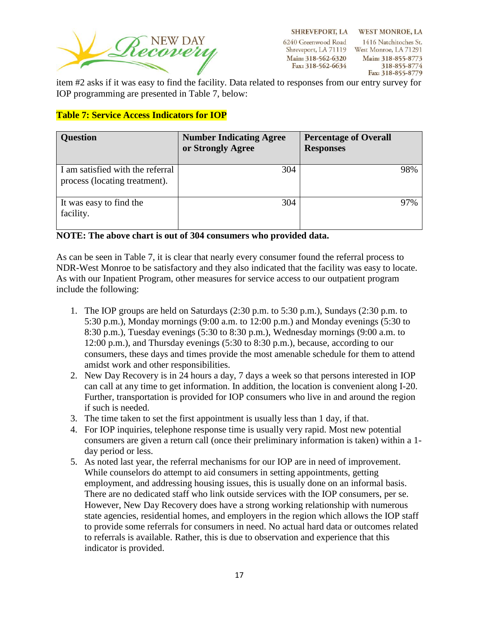

**SHREVEPORT, LA** 6240 Greenwood Road Shreveport, LA 71119 West Monroe, LA 71291 Main: 318-562-6320 Fax: 318-562-6634

**WEST MONROE, LA** 1416 Natchitoches St. Main: 318-855-8773 318-855-8774 Fax: 318-855-8779

item #2 asks if it was easy to find the facility. Data related to responses from our entry survey for IOP programming are presented in Table 7, below:

### **Table 7: Service Access Indicators for IOP**

| <b>Question</b>                                                   | <b>Number Indicating Agree</b><br>or Strongly Agree | <b>Percentage of Overall</b><br><b>Responses</b> |
|-------------------------------------------------------------------|-----------------------------------------------------|--------------------------------------------------|
| I am satisfied with the referral<br>process (locating treatment). | 304                                                 | 98%                                              |
| It was easy to find the<br>facility.                              | 304                                                 | 97%                                              |

#### **NOTE: The above chart is out of 304 consumers who provided data.**

As can be seen in Table 7, it is clear that nearly every consumer found the referral process to NDR-West Monroe to be satisfactory and they also indicated that the facility was easy to locate. As with our Inpatient Program, other measures for service access to our outpatient program include the following:

- 1. The IOP groups are held on Saturdays (2:30 p.m. to 5:30 p.m.), Sundays (2:30 p.m. to 5:30 p.m.), Monday mornings (9:00 a.m. to 12:00 p.m.) and Monday evenings (5:30 to 8:30 p.m.), Tuesday evenings (5:30 to 8:30 p.m.), Wednesday mornings (9:00 a.m. to 12:00 p.m.), and Thursday evenings (5:30 to 8:30 p.m.), because, according to our consumers, these days and times provide the most amenable schedule for them to attend amidst work and other responsibilities.
- 2. New Day Recovery is in 24 hours a day, 7 days a week so that persons interested in IOP can call at any time to get information. In addition, the location is convenient along I-20. Further, transportation is provided for IOP consumers who live in and around the region if such is needed.
- 3. The time taken to set the first appointment is usually less than 1 day, if that.
- 4. For IOP inquiries, telephone response time is usually very rapid. Most new potential consumers are given a return call (once their preliminary information is taken) within a 1 day period or less.
- 5. As noted last year, the referral mechanisms for our IOP are in need of improvement. While counselors do attempt to aid consumers in setting appointments, getting employment, and addressing housing issues, this is usually done on an informal basis. There are no dedicated staff who link outside services with the IOP consumers, per se. However, New Day Recovery does have a strong working relationship with numerous state agencies, residential homes, and employers in the region which allows the IOP staff to provide some referrals for consumers in need. No actual hard data or outcomes related to referrals is available. Rather, this is due to observation and experience that this indicator is provided.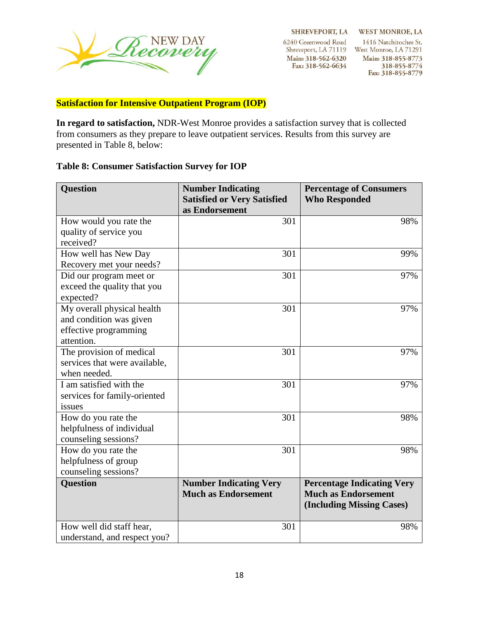

SHREVEPORT, LA WEST MONROE, LA

6240 Greenwood Road Main: 318-562-6320 Fax: 318-562-6634

1416 Natchitoches St. Shreveport, LA 71119 West Monroe, LA 71291 Main: 318-855-8773 318-855-8774 Fax: 318-855-8779

### **Satisfaction for Intensive Outpatient Program (IOP)**

**In regard to satisfaction,** NDR-West Monroe provides a satisfaction survey that is collected from consumers as they prepare to leave outpatient services. Results from this survey are presented in Table 8, below:

### **Table 8: Consumer Satisfaction Survey for IOP**

| Question                      | <b>Number Indicating</b><br><b>Satisfied or Very Satisfied</b> | <b>Percentage of Consumers</b><br><b>Who Responded</b> |
|-------------------------------|----------------------------------------------------------------|--------------------------------------------------------|
|                               | as Endorsement                                                 |                                                        |
| How would you rate the        | 301                                                            | 98%                                                    |
| quality of service you        |                                                                |                                                        |
| received?                     |                                                                |                                                        |
| How well has New Day          | 301                                                            | 99%                                                    |
| Recovery met your needs?      |                                                                |                                                        |
| Did our program meet or       | 301                                                            | 97%                                                    |
| exceed the quality that you   |                                                                |                                                        |
| expected?                     |                                                                |                                                        |
| My overall physical health    | 301                                                            | 97%                                                    |
| and condition was given       |                                                                |                                                        |
| effective programming         |                                                                |                                                        |
| attention.                    |                                                                |                                                        |
| The provision of medical      | 301                                                            | 97%                                                    |
| services that were available, |                                                                |                                                        |
| when needed.                  |                                                                |                                                        |
| I am satisfied with the       | 301                                                            | 97%                                                    |
| services for family-oriented  |                                                                |                                                        |
| issues                        |                                                                |                                                        |
| How do you rate the           | 301                                                            | 98%                                                    |
| helpfulness of individual     |                                                                |                                                        |
| counseling sessions?          |                                                                |                                                        |
| How do you rate the           | 301                                                            | 98%                                                    |
| helpfulness of group          |                                                                |                                                        |
| counseling sessions?          |                                                                |                                                        |
| Question                      | <b>Number Indicating Very</b>                                  | <b>Percentage Indicating Very</b>                      |
|                               | <b>Much as Endorsement</b>                                     | <b>Much as Endorsement</b>                             |
|                               |                                                                | (Including Missing Cases)                              |
|                               |                                                                |                                                        |
| How well did staff hear,      | 301                                                            | 98%                                                    |
| understand, and respect you?  |                                                                |                                                        |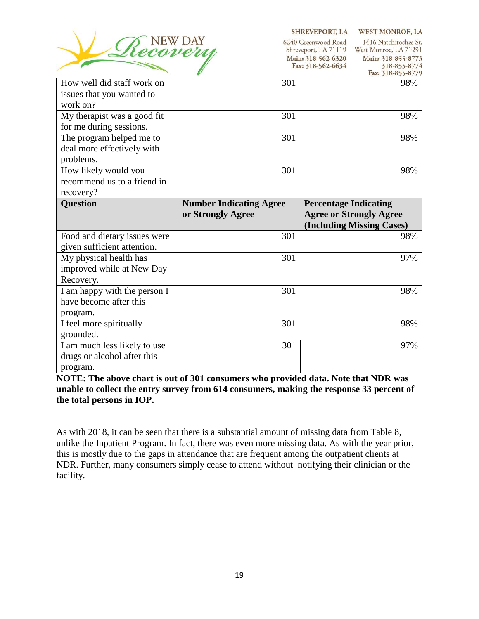

SHREVEPORT, LA WEST MONROE, LA

6240 Greenwood Road 1416 Natchitoches St. Shreveport, LA 71119 West Monroe, LA 71291 Main: 318-562-6320 Fax: 318-562-6634

Main: 318-855-8773 318-855-8774  $\mathcal{L}$ 

|                              |                                | гах: 310-033-0//9              |
|------------------------------|--------------------------------|--------------------------------|
| How well did staff work on   | 301                            | 98%                            |
| issues that you wanted to    |                                |                                |
| work on?                     |                                |                                |
| My therapist was a good fit  | 301                            | 98%                            |
| for me during sessions.      |                                |                                |
| The program helped me to     | 301                            | 98%                            |
| deal more effectively with   |                                |                                |
| problems.                    |                                |                                |
| How likely would you         | 301                            | 98%                            |
| recommend us to a friend in  |                                |                                |
| recovery?                    |                                |                                |
| <b>Question</b>              | <b>Number Indicating Agree</b> | <b>Percentage Indicating</b>   |
|                              | or Strongly Agree              | <b>Agree or Strongly Agree</b> |
|                              |                                | (Including Missing Cases)      |
|                              |                                |                                |
| Food and dietary issues were | 301                            | 98%                            |
| given sufficient attention.  |                                |                                |
| My physical health has       | 301                            | 97%                            |
| improved while at New Day    |                                |                                |
| Recovery.                    |                                |                                |
| I am happy with the person I | 301                            | 98%                            |
| have become after this       |                                |                                |
| program.                     |                                |                                |
| I feel more spiritually      | 301                            | 98%                            |
| grounded.                    |                                |                                |
| I am much less likely to use | 301                            | 97%                            |
| drugs or alcohol after this  |                                |                                |

**NOTE: The above chart is out of 301 consumers who provided data. Note that NDR was unable to collect the entry survey from 614 consumers, making the response 33 percent of the total persons in IOP.** 

As with 2018, it can be seen that there is a substantial amount of missing data from Table 8, unlike the Inpatient Program. In fact, there was even more missing data. As with the year prior, this is mostly due to the gaps in attendance that are frequent among the outpatient clients at NDR. Further, many consumers simply cease to attend without notifying their clinician or the facility.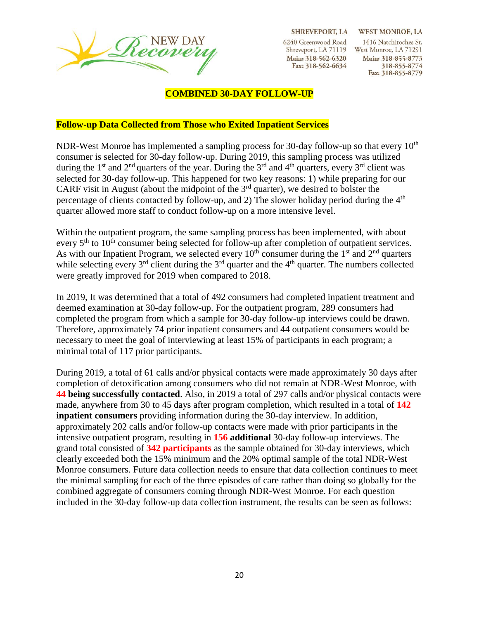

**SHREVEPORT, LA** 

6240 Greenwood Road Main: 318-562-6320 Fax: 318-562-6634

**WEST MONROE, LA** 1416 Natchitoches St. Shreveport, LA 71119 West Monroe, LA 71291 Main: 318-855-8773 318-855-8774 Fax: 318-855-8779

#### **COMBINED 30-DAY FOLLOW-UP**

#### **Follow-up Data Collected from Those who Exited Inpatient Services**

NDR-West Monroe has implemented a sampling process for 30-day follow-up so that every  $10<sup>th</sup>$ consumer is selected for 30-day follow-up. During 2019, this sampling process was utilized during the 1<sup>st</sup> and 2<sup>nd</sup> quarters of the year. During the 3<sup>rd</sup> and 4<sup>th</sup> quarters, every 3<sup>rd</sup> client was selected for 30-day follow-up. This happened for two key reasons: 1) while preparing for our CARF visit in August (about the midpoint of the  $3<sup>rd</sup>$  quarter), we desired to bolster the percentage of clients contacted by follow-up, and 2) The slower holiday period during the  $4<sup>th</sup>$ quarter allowed more staff to conduct follow-up on a more intensive level.

Within the outpatient program, the same sampling process has been implemented, with about every 5<sup>th</sup> to 10<sup>th</sup> consumer being selected for follow-up after completion of outpatient services. As with our Inpatient Program, we selected every  $10^{th}$  consumer during the 1<sup>st</sup> and 2<sup>nd</sup> quarters while selecting every  $3^{rd}$  client during the  $3^{rd}$  quarter and the  $4^{th}$  quarter. The numbers collected were greatly improved for 2019 when compared to 2018.

In 2019, It was determined that a total of 492 consumers had completed inpatient treatment and deemed examination at 30-day follow-up. For the outpatient program, 289 consumers had completed the program from which a sample for 30-day follow-up interviews could be drawn. Therefore, approximately 74 prior inpatient consumers and 44 outpatient consumers would be necessary to meet the goal of interviewing at least 15% of participants in each program; a minimal total of 117 prior participants.

During 2019, a total of 61 calls and/or physical contacts were made approximately 30 days after completion of detoxification among consumers who did not remain at NDR-West Monroe, with **44 being successfully contacted**. Also, in 2019 a total of 297 calls and/or physical contacts were made, anywhere from 30 to 45 days after program completion, which resulted in a total of **142 inpatient consumers** providing information during the 30-day interview. In addition, approximately 202 calls and/or follow-up contacts were made with prior participants in the intensive outpatient program, resulting in **156 additional** 30-day follow-up interviews. The grand total consisted of **342 participants** as the sample obtained for 30-day interviews, which clearly exceeded both the 15% minimum and the 20% optimal sample of the total NDR-West Monroe consumers. Future data collection needs to ensure that data collection continues to meet the minimal sampling for each of the three episodes of care rather than doing so globally for the combined aggregate of consumers coming through NDR-West Monroe. For each question included in the 30-day follow-up data collection instrument, the results can be seen as follows: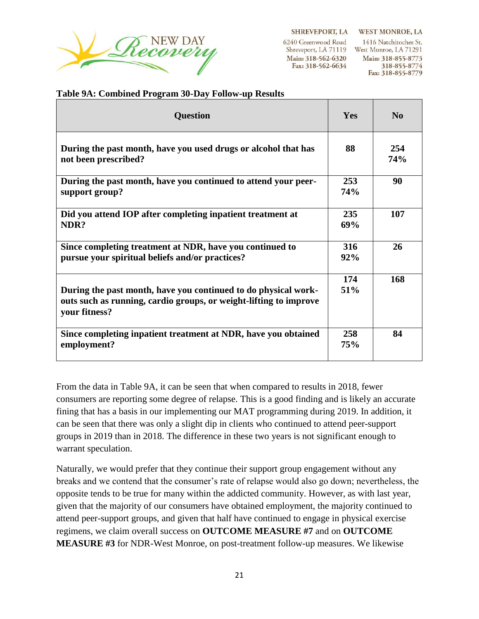

**SHREVEPORT, LA** 

6240 Greenwood Road Main: 318-562-6320 Fax: 318-562-6634

**WEST MONROE, LA** 1416 Natchitoches St. Shreveport, LA 71119 West Monroe, LA 71291 Main: 318-855-8773 318-855-8774 Fax: 318-855-8779

#### **Table 9A: Combined Program 30-Day Follow-up Results**

| <b>Question</b>                                                                                                                                      | Yes        | N <sub>0</sub> |
|------------------------------------------------------------------------------------------------------------------------------------------------------|------------|----------------|
| During the past month, have you used drugs or alcohol that has<br>not been prescribed?                                                               | 88         | 254<br>74%     |
| During the past month, have you continued to attend your peer-<br>support group?                                                                     | 253<br>74% | 90             |
| Did you attend IOP after completing inpatient treatment at<br>NDR?                                                                                   | 235<br>69% | 107            |
| Since completing treatment at NDR, have you continued to<br>pursue your spiritual beliefs and/or practices?                                          | 316<br>92% | 26             |
| During the past month, have you continued to do physical work-<br>outs such as running, cardio groups, or weight-lifting to improve<br>your fitness? | 174<br>51% | 168            |
| Since completing inpatient treatment at NDR, have you obtained<br>employment?                                                                        | 258<br>75% | 84             |

From the data in Table 9A, it can be seen that when compared to results in 2018, fewer consumers are reporting some degree of relapse. This is a good finding and is likely an accurate fining that has a basis in our implementing our MAT programming during 2019. In addition, it can be seen that there was only a slight dip in clients who continued to attend peer-support groups in 2019 than in 2018. The difference in these two years is not significant enough to warrant speculation.

Naturally, we would prefer that they continue their support group engagement without any breaks and we contend that the consumer's rate of relapse would also go down; nevertheless, the opposite tends to be true for many within the addicted community. However, as with last year, given that the majority of our consumers have obtained employment, the majority continued to attend peer-support groups, and given that half have continued to engage in physical exercise regimens, we claim overall success on **OUTCOME MEASURE #7** and on **OUTCOME MEASURE #3** for NDR-West Monroe, on post-treatment follow-up measures. We likewise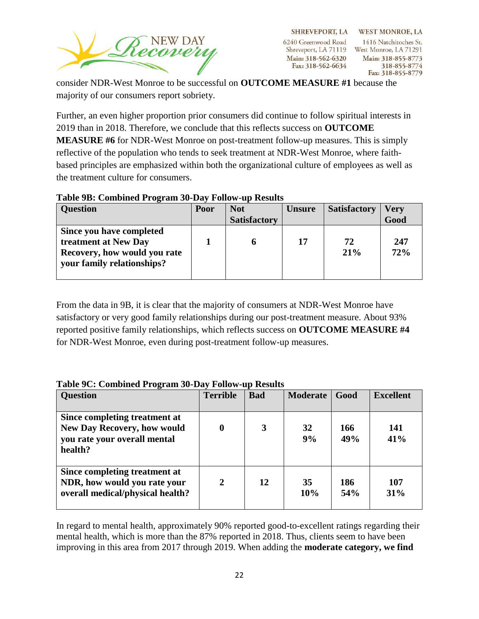

consider NDR-West Monroe to be successful on **OUTCOME MEASURE #1** because the majority of our consumers report sobriety.

Further, an even higher proportion prior consumers did continue to follow spiritual interests in 2019 than in 2018. Therefore, we conclude that this reflects success on **OUTCOME MEASURE #6** for NDR-West Monroe on post-treatment follow-up measures. This is simply reflective of the population who tends to seek treatment at NDR-West Monroe, where faithbased principles are emphasized within both the organizational culture of employees as well as the treatment culture for consumers.

### **Table 9B: Combined Program 30-Day Follow-up Results**

| <b>Question</b>                                                                                                | Poor | <b>Not</b>          | <b>Unsure</b> | <b>Satisfactory</b> | <b>Very</b> |
|----------------------------------------------------------------------------------------------------------------|------|---------------------|---------------|---------------------|-------------|
|                                                                                                                |      | <b>Satisfactory</b> |               |                     | Good        |
| Since you have completed<br>treatment at New Day<br>Recovery, how would you rate<br>your family relationships? |      | O                   | 17            | 72<br>21%           | 247<br>72%  |

From the data in 9B, it is clear that the majority of consumers at NDR-West Monroe have satisfactory or very good family relationships during our post-treatment measure. About 93% reported positive family relationships, which reflects success on **OUTCOME MEASURE #4** for NDR-West Monroe, even during post-treatment follow-up measures.

#### **Question Terrible Bad Moderate Good Excellent Since completing treatment at New Day Recovery, how would you rate your overall mental health? 0 3 32 9% 166 49% 141 41% Since completing treatment at NDR, how would you rate your overall medical/physical health? 2 12 35 10% 186 54% 107 31%**

### **Table 9C: Combined Program 30-Day Follow-up Results**

In regard to mental health, approximately 90% reported good-to-excellent ratings regarding their mental health, which is more than the 87% reported in 2018. Thus, clients seem to have been improving in this area from 2017 through 2019. When adding the **moderate category, we find**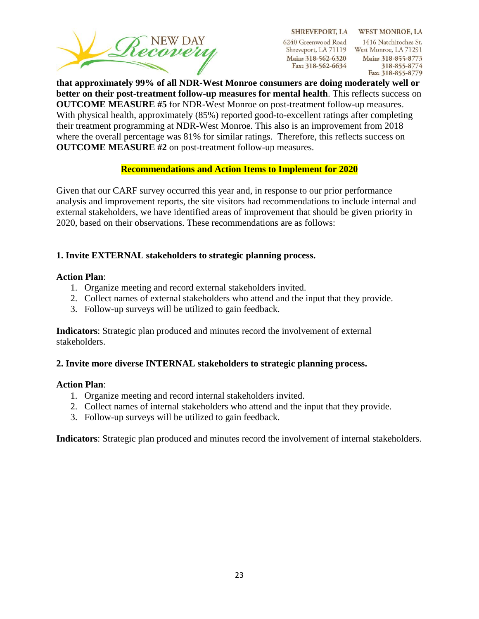

SHREVEPORT, LA WEST MONROE, LA 1416 Natchitoches St. Shreveport, LA 71119 West Monroe, LA 71291 Main: 318-855-8773 318-855-8774 Fax: 318-855-8779

**that approximately 99% of all NDR-West Monroe consumers are doing moderately well or better on their post-treatment follow-up measures for mental health**. This reflects success on **OUTCOME MEASURE #5** for NDR-West Monroe on post-treatment follow-up measures. With physical health, approximately (85%) reported good-to-excellent ratings after completing their treatment programming at NDR-West Monroe. This also is an improvement from 2018 where the overall percentage was 81% for similar ratings. Therefore, this reflects success on **OUTCOME MEASURE #2** on post-treatment follow-up measures.

### **Recommendations and Action Items to Implement for 2020**

Given that our CARF survey occurred this year and, in response to our prior performance analysis and improvement reports, the site visitors had recommendations to include internal and external stakeholders, we have identified areas of improvement that should be given priority in 2020, based on their observations. These recommendations are as follows:

### **1. Invite EXTERNAL stakeholders to strategic planning process.**

#### **Action Plan**:

- 1. Organize meeting and record external stakeholders invited.
- 2. Collect names of external stakeholders who attend and the input that they provide.
- 3. Follow-up surveys will be utilized to gain feedback.

**Indicators**: Strategic plan produced and minutes record the involvement of external stakeholders.

### **2. Invite more diverse INTERNAL stakeholders to strategic planning process.**

#### **Action Plan**:

- 1. Organize meeting and record internal stakeholders invited.
- 2. Collect names of internal stakeholders who attend and the input that they provide.
- 3. Follow-up surveys will be utilized to gain feedback.

**Indicators**: Strategic plan produced and minutes record the involvement of internal stakeholders.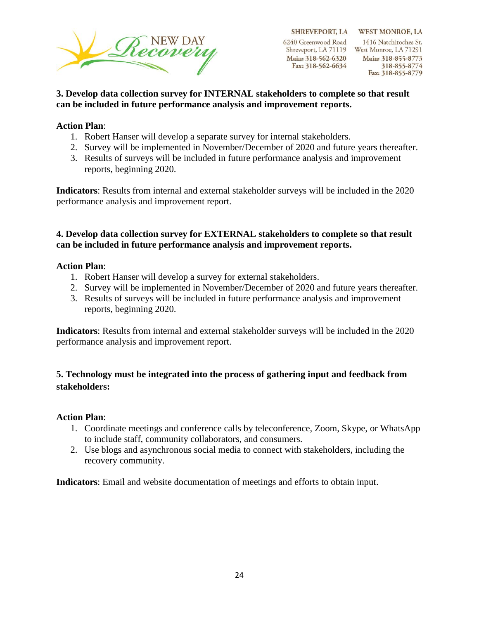

6240 Greenwood Road Shreveport, LA 71119 West Monroe, LA 71291 Main: 318-562-6320 Fax: 318-562-6634

SHREVEPORT, LA WEST MONROE, LA 1416 Natchitoches St. Main: 318-855-8773 318-855-8774 Fax: 318-855-8779

### **3. Develop data collection survey for INTERNAL stakeholders to complete so that result can be included in future performance analysis and improvement reports.**

### **Action Plan**:

- 1. Robert Hanser will develop a separate survey for internal stakeholders.
- 2. Survey will be implemented in November/December of 2020 and future years thereafter.
- 3. Results of surveys will be included in future performance analysis and improvement reports, beginning 2020.

**Indicators**: Results from internal and external stakeholder surveys will be included in the 2020 performance analysis and improvement report.

### **4. Develop data collection survey for EXTERNAL stakeholders to complete so that result can be included in future performance analysis and improvement reports.**

### **Action Plan**:

- 1. Robert Hanser will develop a survey for external stakeholders.
- 2. Survey will be implemented in November/December of 2020 and future years thereafter.
- 3. Results of surveys will be included in future performance analysis and improvement reports, beginning 2020.

**Indicators**: Results from internal and external stakeholder surveys will be included in the 2020 performance analysis and improvement report.

### **5. Technology must be integrated into the process of gathering input and feedback from stakeholders:**

### **Action Plan**:

- 1. Coordinate meetings and conference calls by teleconference, Zoom, Skype, or WhatsApp to include staff, community collaborators, and consumers.
- 2. Use blogs and asynchronous social media to connect with stakeholders, including the recovery community.

**Indicators**: Email and website documentation of meetings and efforts to obtain input.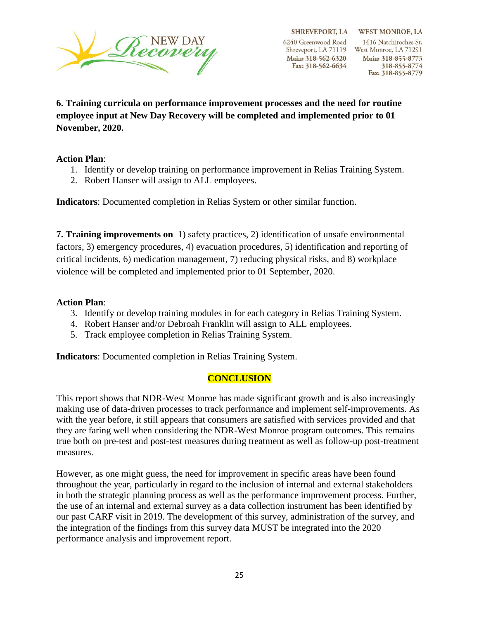

SHREVEPORT, LA WEST MONROE, LA 1416 Natchitoches St. Shreveport, LA 71119 West Monroe, LA 71291 Main: 318-855-8773 318-855-8774 Fax: 318-855-8779

**6. Training curricula on performance improvement processes and the need for routine employee input at New Day Recovery will be completed and implemented prior to 01 November, 2020.**

#### **Action Plan**:

- 1. Identify or develop training on performance improvement in Relias Training System.
- 2. Robert Hanser will assign to ALL employees.

**Indicators**: Documented completion in Relias System or other similar function.

**7. Training improvements on** 1) safety practices, 2) identification of unsafe environmental factors, 3) emergency procedures, 4) evacuation procedures, 5) identification and reporting of critical incidents, 6) medication management, 7) reducing physical risks, and 8) workplace violence will be completed and implemented prior to 01 September, 2020.

#### **Action Plan**:

- 3. Identify or develop training modules in for each category in Relias Training System.
- 4. Robert Hanser and/or Debroah Franklin will assign to ALL employees.
- 5. Track employee completion in Relias Training System.

**Indicators**: Documented completion in Relias Training System.

### **CONCLUSION**

This report shows that NDR-West Monroe has made significant growth and is also increasingly making use of data-driven processes to track performance and implement self-improvements. As with the year before, it still appears that consumers are satisfied with services provided and that they are faring well when considering the NDR-West Monroe program outcomes. This remains true both on pre-test and post-test measures during treatment as well as follow-up post-treatment measures.

However, as one might guess, the need for improvement in specific areas have been found throughout the year, particularly in regard to the inclusion of internal and external stakeholders in both the strategic planning process as well as the performance improvement process. Further, the use of an internal and external survey as a data collection instrument has been identified by our past CARF visit in 2019. The development of this survey, administration of the survey, and the integration of the findings from this survey data MUST be integrated into the 2020 performance analysis and improvement report.